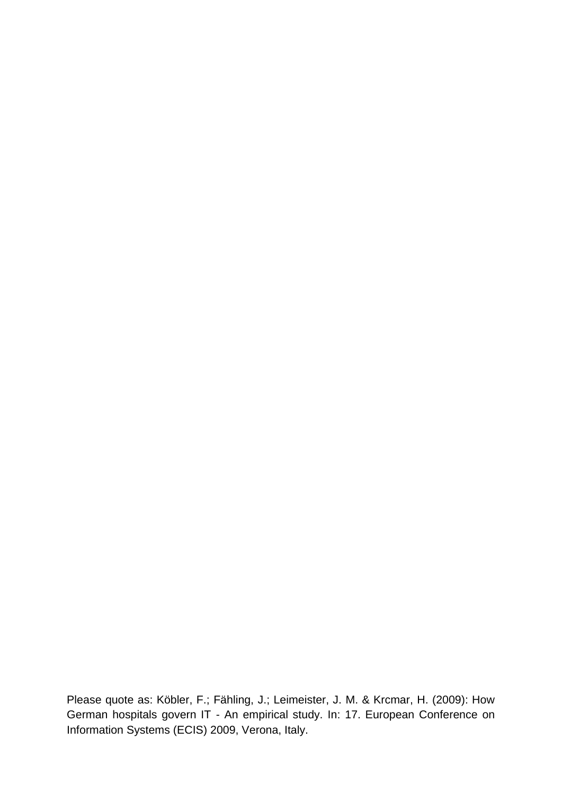Please quote as: Köbler, F.; Fähling, J.; Leimeister, J. M. & Krcmar, H. (2009): How German hospitals govern IT - An empirical study. In: 17. European Conference on Information Systems (ECIS) 2009, Verona, Italy.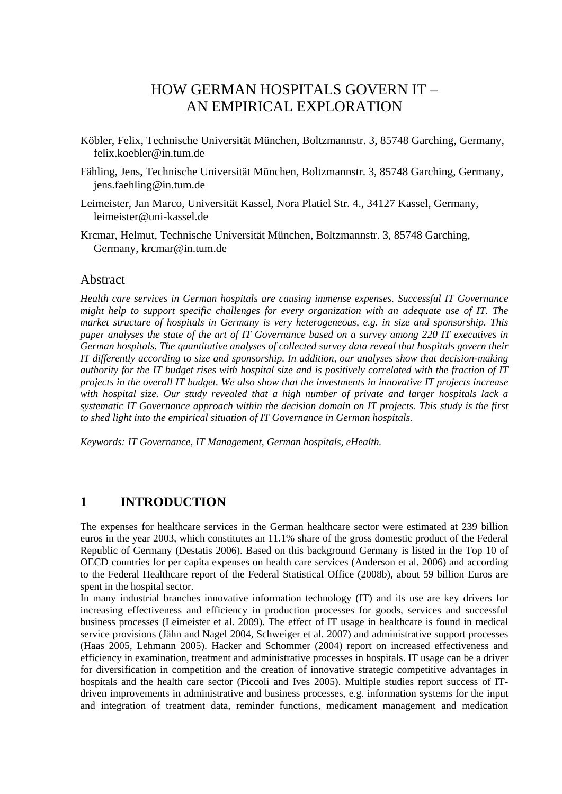# HOW GERMAN HOSPITALS GOVERN IT – AN EMPIRICAL EXPLORATION

- Köbler, Felix, Technische Universität München, Boltzmannstr. 3, 85748 Garching, Germany, felix.koebler@in.tum.de
- Fähling, Jens, Technische Universität München, Boltzmannstr. 3, 85748 Garching, Germany, jens.faehling@in.tum.de
- Leimeister, Jan Marco, Universität Kassel, Nora Platiel Str. 4., 34127 Kassel, Germany, leimeister@uni-kassel.de
- Krcmar, Helmut, Technische Universität München, Boltzmannstr. 3, 85748 Garching, Germany, krcmar@in.tum.de

### Abstract

*Health care services in German hospitals are causing immense expenses. Successful IT Governance might help to support specific challenges for every organization with an adequate use of IT. The market structure of hospitals in Germany is very heterogeneous, e.g. in size and sponsorship. This paper analyses the state of the art of IT Governance based on a survey among 220 IT executives in German hospitals. The quantitative analyses of collected survey data reveal that hospitals govern their IT differently according to size and sponsorship. In addition, our analyses show that decision-making authority for the IT budget rises with hospital size and is positively correlated with the fraction of IT projects in the overall IT budget. We also show that the investments in innovative IT projects increase with hospital size. Our study revealed that a high number of private and larger hospitals lack a systematic IT Governance approach within the decision domain on IT projects. This study is the first to shed light into the empirical situation of IT Governance in German hospitals.* 

*Keywords: IT Governance, IT Management, German hospitals, eHealth.* 

### **1 INTRODUCTION**

The expenses for healthcare services in the German healthcare sector were estimated at 239 billion euros in the year 2003, which constitutes an 11.1% share of the gross domestic product of the Federal Republic of Germany (Destatis 2006). Based on this background Germany is listed in the Top 10 of OECD countries for per capita expenses on health care services (Anderson et al. 2006) and according to the Federal Healthcare report of the Federal Statistical Office (2008b), about 59 billion Euros are spent in the hospital sector.

In many industrial branches innovative information technology (IT) and its use are key drivers for increasing effectiveness and efficiency in production processes for goods, services and successful business processes (Leimeister et al. 2009). The effect of IT usage in healthcare is found in medical service provisions (Jähn and Nagel 2004, Schweiger et al. 2007) and administrative support processes (Haas 2005, Lehmann 2005). Hacker and Schommer (2004) report on increased effectiveness and efficiency in examination, treatment and administrative processes in hospitals. IT usage can be a driver for diversification in competition and the creation of innovative strategic competitive advantages in hospitals and the health care sector (Piccoli and Ives 2005). Multiple studies report success of ITdriven improvements in administrative and business processes, e.g. information systems for the input and integration of treatment data, reminder functions, medicament management and medication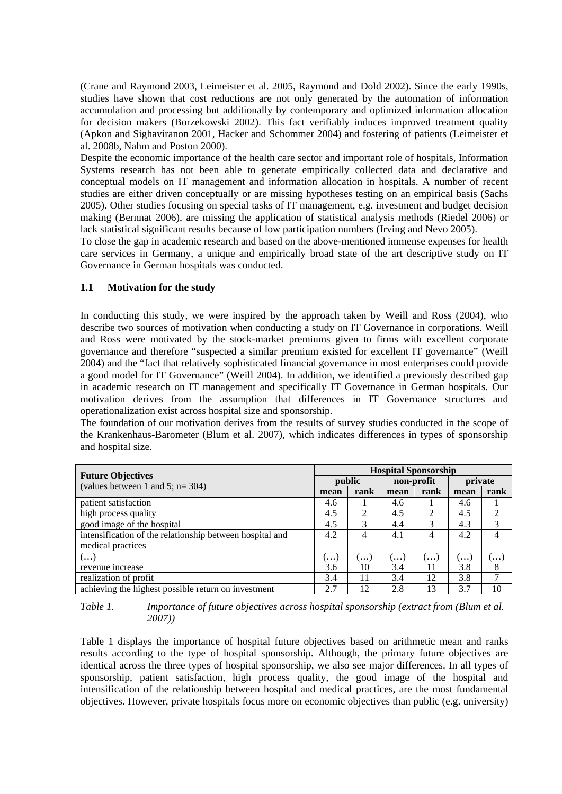(Crane and Raymond 2003, Leimeister et al. 2005, Raymond and Dold 2002). Since the early 1990s, studies have shown that cost reductions are not only generated by the automation of information accumulation and processing but additionally by contemporary and optimized information allocation for decision makers (Borzekowski 2002). This fact verifiably induces improved treatment quality (Apkon and Sighaviranon 2001, Hacker and Schommer 2004) and fostering of patients (Leimeister et al. 2008b, Nahm and Poston 2000).

Despite the economic importance of the health care sector and important role of hospitals, Information Systems research has not been able to generate empirically collected data and declarative and conceptual models on IT management and information allocation in hospitals. A number of recent studies are either driven conceptually or are missing hypotheses testing on an empirical basis (Sachs 2005). Other studies focusing on special tasks of IT management, e.g. investment and budget decision making (Bernnat 2006), are missing the application of statistical analysis methods (Riedel 2006) or lack statistical significant results because of low participation numbers (Irving and Nevo 2005).

To close the gap in academic research and based on the above-mentioned immense expenses for health care services in Germany, a unique and empirically broad state of the art descriptive study on IT Governance in German hospitals was conducted.

#### **1.1 Motivation for the study**

In conducting this study, we were inspired by the approach taken by Weill and Ross (2004), who describe two sources of motivation when conducting a study on IT Governance in corporations. Weill and Ross were motivated by the stock-market premiums given to firms with excellent corporate governance and therefore "suspected a similar premium existed for excellent IT governance" (Weill 2004) and the "fact that relatively sophisticated financial governance in most enterprises could provide a good model for IT Governance" (Weill 2004). In addition, we identified a previously described gap in academic research on IT management and specifically IT Governance in German hospitals. Our motivation derives from the assumption that differences in IT Governance structures and operationalization exist across hospital size and sponsorship.

The foundation of our motivation derives from the results of survey studies conducted in the scope of the Krankenhaus-Barometer (Blum et al. 2007), which indicates differences in types of sponsorship and hospital size.

|                                                                  |          | <b>Hospital Sponsorship</b> |            |      |         |                |  |  |
|------------------------------------------------------------------|----------|-----------------------------|------------|------|---------|----------------|--|--|
| <b>Future Objectives</b><br>(values between 1 and 5; $n = 304$ ) | public   |                             | non-profit |      | private |                |  |  |
|                                                                  | mean     | rank                        | mean       | rank | mean    | rank           |  |  |
| patient satisfaction                                             | 4.6      |                             | 4.6        |      | 4.6     |                |  |  |
| high process quality                                             | 4.5      | 2                           | 4.5        |      | 4.5     | $\overline{2}$ |  |  |
| good image of the hospital                                       | 4.5      | 3                           | 4.4        | 3    | 4.3     | 3              |  |  |
| intensification of the relationship between hospital and         | 4.2      | 4                           | 4.1        | 4    | 4.2     |                |  |  |
| medical practices                                                |          |                             |            |      |         |                |  |  |
| $($ )                                                            | $\cdots$ | .                           | ( )        | .    | . 1     | .              |  |  |
| revenue increase                                                 | 3.6      | 10                          | 3.4        | 11   | 3.8     | 8              |  |  |
| realization of profit                                            | 3.4      | 11                          | 3.4        | 12   | 3.8     |                |  |  |
| achieving the highest possible return on investment              | 2.7      | 12                          | 2.8        | 13   | 3.7     | 10             |  |  |

*Table 1. Importance of future objectives across hospital sponsorship (extract from (Blum et al. 2007))* 

Table 1 displays the importance of hospital future objectives based on arithmetic mean and ranks results according to the type of hospital sponsorship. Although, the primary future objectives are identical across the three types of hospital sponsorship, we also see major differences. In all types of sponsorship, patient satisfaction, high process quality, the good image of the hospital and intensification of the relationship between hospital and medical practices, are the most fundamental objectives. However, private hospitals focus more on economic objectives than public (e.g. university)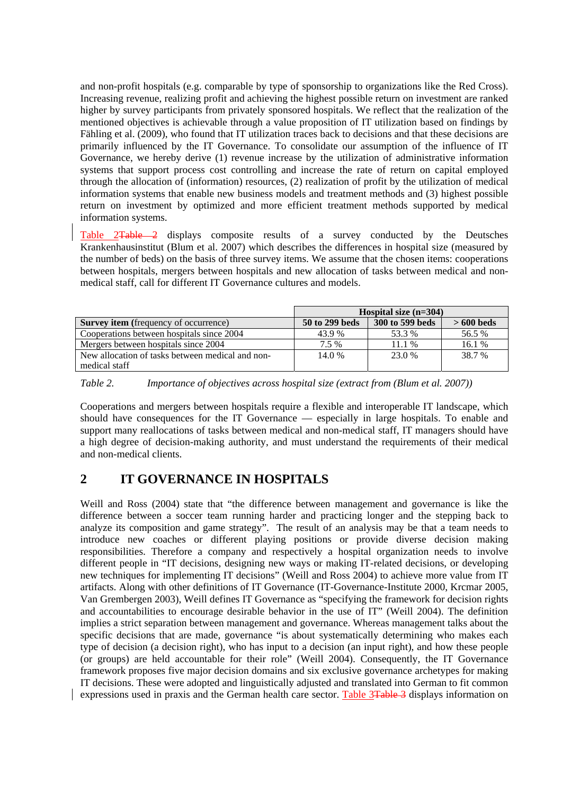and non-profit hospitals (e.g. comparable by type of sponsorship to organizations like the Red Cross). Increasing revenue, realizing profit and achieving the highest possible return on investment are ranked higher by survey participants from privately sponsored hospitals. We reflect that the realization of the mentioned objectives is achievable through a value proposition of IT utilization based on findings by Fähling et al. (2009), who found that IT utilization traces back to decisions and that these decisions are primarily influenced by the IT Governance. To consolidate our assumption of the influence of IT Governance, we hereby derive (1) revenue increase by the utilization of administrative information systems that support process cost controlling and increase the rate of return on capital employed through the allocation of (information) resources, (2) realization of profit by the utilization of medical information systems that enable new business models and treatment methods and (3) highest possible return on investment by optimized and more efficient treatment methods supported by medical information systems.

Table 2Table 2 displays composite results of a survey conducted by the Deutsches Krankenhausinstitut (Blum et al. 2007) which describes the differences in hospital size (measured by the number of beds) on the basis of three survey items. We assume that the chosen items: cooperations between hospitals, mergers between hospitals and new allocation of tasks between medical and nonmedical staff, call for different IT Governance cultures and models.

|                                                  | Hospital size $(n=304)$ |                 |             |  |  |
|--------------------------------------------------|-------------------------|-----------------|-------------|--|--|
| <b>Survey item</b> (frequency of occurrence)     | 50 to 299 beds          | 300 to 599 beds | $>600$ beds |  |  |
| Cooperations between hospitals since 2004        | 43.9%                   | 53.3 %          | 56.5 %      |  |  |
| Mergers between hospitals since 2004             | 7.5 %                   | 11.1%           | 16.1%       |  |  |
| New allocation of tasks between medical and non- | 14.0 %                  | 23.0 %          | 38.7 %      |  |  |
| medical staff                                    |                         |                 |             |  |  |

*Table 2. Importance of objectives across hospital size (extract from (Blum et al. 2007))* 

Cooperations and mergers between hospitals require a flexible and interoperable IT landscape, which should have consequences for the IT Governance — especially in large hospitals. To enable and support many reallocations of tasks between medical and non-medical staff, IT managers should have a high degree of decision-making authority, and must understand the requirements of their medical and non-medical clients.

## **2 IT GOVERNANCE IN HOSPITALS**

Weill and Ross (2004) state that "the difference between management and governance is like the difference between a soccer team running harder and practicing longer and the stepping back to analyze its composition and game strategy". The result of an analysis may be that a team needs to introduce new coaches or different playing positions or provide diverse decision making responsibilities. Therefore a company and respectively a hospital organization needs to involve different people in "IT decisions, designing new ways or making IT-related decisions, or developing new techniques for implementing IT decisions" (Weill and Ross 2004) to achieve more value from IT artifacts. Along with other definitions of IT Governance (IT-Governance-Institute 2000, Krcmar 2005, Van Grembergen 2003), Weill defines IT Governance as "specifying the framework for decision rights and accountabilities to encourage desirable behavior in the use of IT" (Weill 2004). The definition implies a strict separation between management and governance. Whereas management talks about the specific decisions that are made, governance "is about systematically determining who makes each type of decision (a decision right), who has input to a decision (an input right), and how these people (or groups) are held accountable for their role" (Weill 2004). Consequently, the IT Governance framework proposes five major decision domains and six exclusive governance archetypes for making IT decisions. These were adopted and linguistically adjusted and translated into German to fit common expressions used in praxis and the German health care sector. Table 3Table 3 displays information on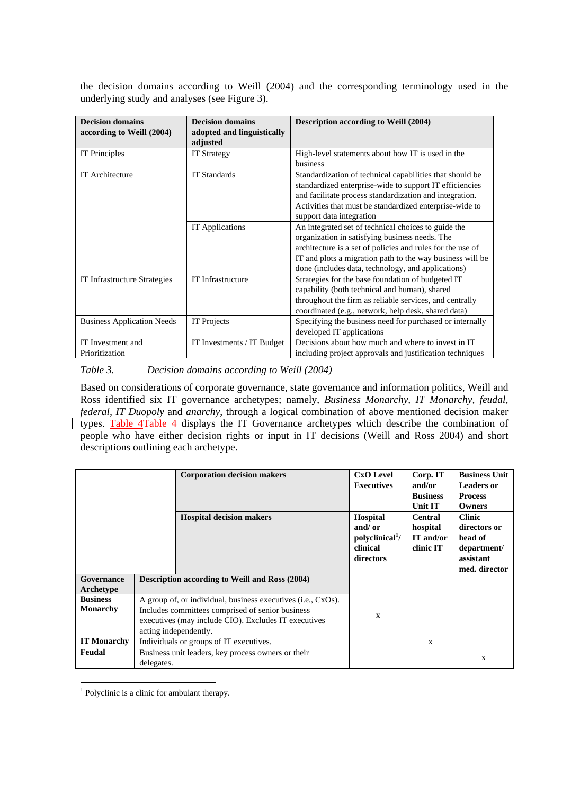the decision domains according to Weill (2004) and the corresponding terminology used in the underlying study and analyses (see Figure 3).

| <b>Decision domains</b><br>according to Weill (2004) | <b>Decision domains</b><br>adopted and linguistically | <b>Description according to Weill (2004)</b>               |
|------------------------------------------------------|-------------------------------------------------------|------------------------------------------------------------|
|                                                      | adjusted                                              |                                                            |
| <b>IT</b> Principles                                 | <b>IT Strategy</b>                                    | High-level statements about how IT is used in the          |
|                                                      |                                                       | business                                                   |
| IT Architecture                                      | <b>IT Standards</b>                                   | Standardization of technical capabilities that should be   |
|                                                      |                                                       | standardized enterprise-wide to support IT efficiencies    |
|                                                      |                                                       | and facilitate process standardization and integration.    |
|                                                      |                                                       | Activities that must be standardized enterprise-wide to    |
|                                                      |                                                       | support data integration                                   |
|                                                      | <b>IT</b> Applications                                | An integrated set of technical choices to guide the        |
|                                                      |                                                       | organization in satisfying business needs. The             |
|                                                      |                                                       | architecture is a set of policies and rules for the use of |
|                                                      |                                                       | IT and plots a migration path to the way business will be  |
|                                                      |                                                       | done (includes data, technology, and applications)         |
| <b>IT Infrastructure Strategies</b>                  | IT Infrastructure                                     | Strategies for the base foundation of budgeted IT          |
|                                                      |                                                       | capability (both technical and human), shared              |
|                                                      |                                                       | throughout the firm as reliable services, and centrally    |
|                                                      |                                                       | coordinated (e.g., network, help desk, shared data)        |
| <b>Business Application Needs</b>                    | IT Projects                                           | Specifying the business need for purchased or internally   |
|                                                      |                                                       | developed IT applications                                  |
| IT Investment and                                    | IT Investments / IT Budget                            | Decisions about how much and where to invest in IT         |
| Prioritization                                       |                                                       | including project approvals and justification techniques   |

*Table 3. Decision domains according to Weill (2004)* 

Based on considerations of corporate governance, state governance and information politics, Weill and Ross identified six IT governance archetypes; namely, *Business Monarchy, IT Monarchy, feudal, federal, IT Duopoly* and *anarchy*, through a logical combination of above mentioned decision maker types. Table 4Table 4 displays the IT Governance archetypes which describe the combination of people who have either decision rights or input in IT decisions (Weill and Ross 2004) and short descriptions outlining each archetype.

|                                    | <b>Corporation decision makers</b>                                                                                                                                                                | <b>CxO</b> Level<br><b>Executives</b>                                                | Corp. IT<br>and/or<br><b>Business</b><br>Unit IT     | <b>Business Unit</b><br><b>Leaders or</b><br><b>Process</b><br>Owners                 |
|------------------------------------|---------------------------------------------------------------------------------------------------------------------------------------------------------------------------------------------------|--------------------------------------------------------------------------------------|------------------------------------------------------|---------------------------------------------------------------------------------------|
|                                    | <b>Hospital decision makers</b>                                                                                                                                                                   | <b>Hospital</b><br>and/ $or$<br>polyclinical <sup>1</sup> /<br>clinical<br>directors | <b>Central</b><br>hospital<br>IT and/or<br>clinic IT | <b>Clinic</b><br>directors or<br>head of<br>department/<br>assistant<br>med. director |
| Governance<br>Archetype            | <b>Description according to Weill and Ross (2004)</b>                                                                                                                                             |                                                                                      |                                                      |                                                                                       |
| <b>Business</b><br><b>Monarchy</b> | A group of, or individual, business executives (i.e., CxOs).<br>Includes committees comprised of senior business<br>executives (may include CIO). Excludes IT executives<br>acting independently. | X                                                                                    |                                                      |                                                                                       |
| <b>IT Monarchy</b>                 | Individuals or groups of IT executives.                                                                                                                                                           |                                                                                      | $\mathbf{x}$                                         |                                                                                       |
| Feudal                             | Business unit leaders, key process owners or their<br>delegates.                                                                                                                                  |                                                                                      |                                                      | $\mathbf{x}$                                                                          |

<sup>&</sup>lt;sup>1</sup> Polyclinic is a clinic for ambulant therapy.

 $\overline{a}$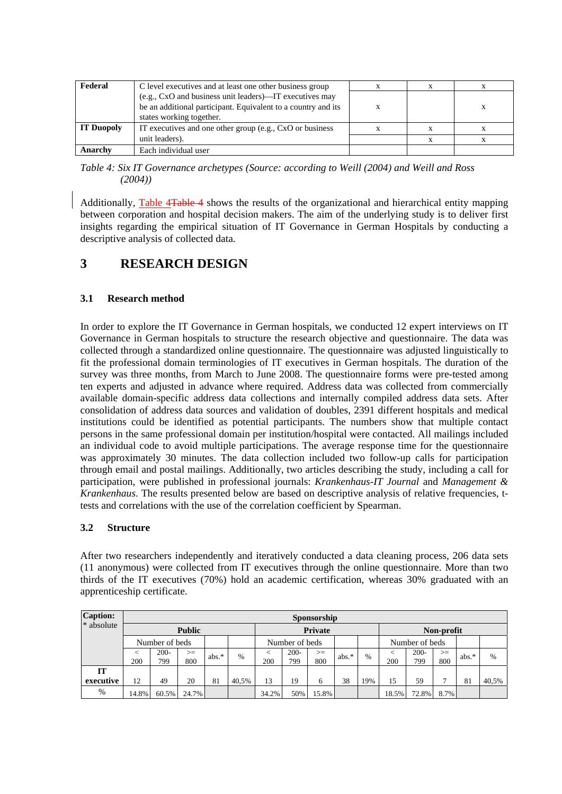| Federal           | C level executives and at least one other business group                                                                 |  |  |
|-------------------|--------------------------------------------------------------------------------------------------------------------------|--|--|
|                   | (e.g., CxO and business unit leaders)—IT executives may<br>be an additional participant. Equivalent to a country and its |  |  |
|                   | states working together.                                                                                                 |  |  |
| <b>IT Duopoly</b> | IT executives and one other group (e.g., CxO or business                                                                 |  |  |
|                   | unit leaders).                                                                                                           |  |  |
| Anarchy           | Each individual user                                                                                                     |  |  |

*Table 4: Six IT Governance archetypes (Source: according to Weill (2004) and Weill and Ross (2004))* 

Additionally, Table 4Table 4 shows the results of the organizational and hierarchical entity mapping between corporation and hospital decision makers. The aim of the underlying study is to deliver first insights regarding the empirical situation of IT Governance in German Hospitals by conducting a descriptive analysis of collected data.

## **3 RESEARCH DESIGN**

### **3.1 Research method**

In order to explore the IT Governance in German hospitals, we conducted 12 expert interviews on IT Governance in German hospitals to structure the research objective and questionnaire. The data was collected through a standardized online questionnaire. The questionnaire was adjusted linguistically to fit the professional domain terminologies of IT executives in German hospitals. The duration of the survey was three months, from March to June 2008. The questionnaire forms were pre-tested among ten experts and adjusted in advance where required. Address data was collected from commercially available domain-specific address data collections and internally compiled address data sets. After consolidation of address data sources and validation of doubles, 2391 different hospitals and medical institutions could be identified as potential participants. The numbers show that multiple contact persons in the same professional domain per institution/hospital were contacted. All mailings included an individual code to avoid multiple participations. The average response time for the questionnaire was approximately 30 minutes. The data collection included two follow-up calls for participation through email and postal mailings. Additionally, two articles describing the study, including a call for participation, were published in professional journals: *Krankenhaus-IT Journal* and *Management & Krankenhaus*. The results presented below are based on descriptive analysis of relative frequencies, ttests and correlations with the use of the correlation coefficient by Spearman.

### **3.2 Structure**

After two researchers independently and iteratively conducted a data cleaning process, 206 data sets (11 anonymous) were collected from IT executives through the online questionnaire. More than two thirds of the IT executives (70%) hold an academic certification, whereas 30% graduated with an apprenticeship certificate.

| <b>Caption:</b> | Sponsorship   |                |             |         |       |       |                |             |         |      |       |                |             |         |       |
|-----------------|---------------|----------------|-------------|---------|-------|-------|----------------|-------------|---------|------|-------|----------------|-------------|---------|-------|
| * absolute      | <b>Public</b> |                |             |         |       |       | <b>Private</b> |             |         |      |       | Non-profit     |             |         |       |
|                 |               | Number of beds |             |         |       |       | Number of beds |             |         |      |       | Number of beds |             |         |       |
|                 | 200           | $200 -$<br>799 | $>=$<br>800 | $abs.*$ | $\%$  | 200   | $200 -$<br>799 | $>=$<br>800 | $abs.*$ | $\%$ | 200   | $200 -$<br>799 | $>=$<br>800 | $abs.*$ | $\%$  |
| IT              |               |                |             |         |       |       |                |             |         |      |       |                |             |         |       |
| executive       | 12            | 49             | 20          | 81      | 40.5% | 13    | 19             | 6           | 38      | 19%  | 15    | 59             | −           | 81      | 40,5% |
| %               | 14.8%         | 60.5%          | 24.7%       |         |       | 34.2% | 50%            | 15.8%       |         |      | 18.5% | 72.8%          | 8.7%        |         |       |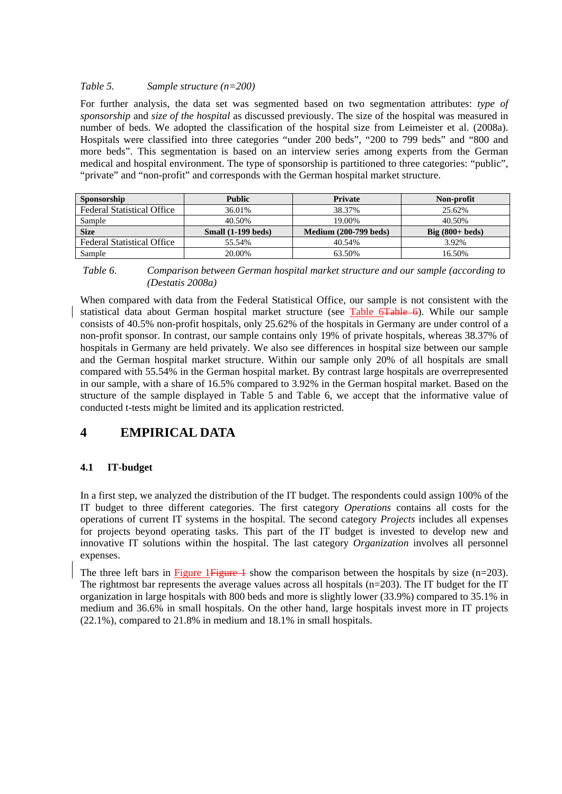#### *Table 5. Sample structure (n=200)*

For further analysis, the data set was segmented based on two segmentation attributes: *type of sponsorship* and *size of the hospital* as discussed previously. The size of the hospital was measured in number of beds. We adopted the classification of the hospital size from Leimeister et al. (2008a). Hospitals were classified into three categories "under 200 beds", "200 to 799 beds" and "800 and more beds". This segmentation is based on an interview series among experts from the German medical and hospital environment. The type of sponsorship is partitioned to three categories: "public", "private" and "non-profit" and corresponds with the German hospital market structure.

| Sponsorship                       | <b>Public</b>        | <b>Private</b>               | Non-profit                |
|-----------------------------------|----------------------|------------------------------|---------------------------|
| <b>Federal Statistical Office</b> | 36.01%               | 38.37%                       | 25.62%                    |
| Sample                            | 40.50%               | 19.00%                       | 40.50%                    |
| <b>Size</b>                       | Small $(1-199$ beds) | <b>Medium (200-799 beds)</b> | Big $(800 + \text{beds})$ |
| <b>Federal Statistical Office</b> | 55.54%               | 40.54%                       | 3.92%                     |
| Sample                            | 20.00%               | 63.50%                       | 16.50%                    |

 *Table 6. Comparison between German hospital market structure and our sample (according to (Destatis 2008a)* 

When compared with data from the Federal Statistical Office, our sample is not consistent with the statistical data about German hospital market structure (see Table 6Table 6). While our sample consists of 40.5% non-profit hospitals, only 25.62% of the hospitals in Germany are under control of a non-profit sponsor. In contrast, our sample contains only 19% of private hospitals, whereas 38.37% of hospitals in Germany are held privately. We also see differences in hospital size between our sample and the German hospital market structure. Within our sample only 20% of all hospitals are small compared with 55.54% in the German hospital market. By contrast large hospitals are overrepresented in our sample, with a share of 16.5% compared to 3.92% in the German hospital market. Based on the structure of the sample displayed in Table 5 and Table 6, we accept that the informative value of conducted t-tests might be limited and its application restricted.

## **4 EMPIRICAL DATA**

### **4.1 IT-budget**

In a first step, we analyzed the distribution of the IT budget. The respondents could assign 100% of the IT budget to three different categories. The first category *Operations* contains all costs for the operations of current IT systems in the hospital. The second category *Projects* includes all expenses for projects beyond operating tasks. This part of the IT budget is invested to develop new and innovative IT solutions within the hospital. The last category *Organization* involves all personnel expenses.

The three left bars in Figure 1 Figure  $\frac{1}{2}$  show the comparison between the hospitals by size (n=203). The rightmost bar represents the average values across all hospitals (n=203). The IT budget for the IT organization in large hospitals with 800 beds and more is slightly lower (33.9%) compared to 35.1% in medium and 36.6% in small hospitals. On the other hand, large hospitals invest more in IT projects (22.1%), compared to 21.8% in medium and 18.1% in small hospitals.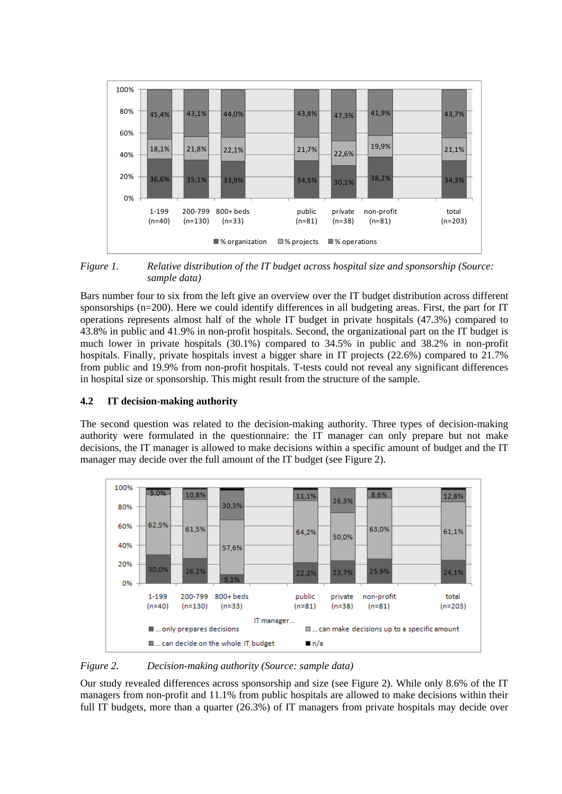

*Figure 1. Relative distribution of the IT budget across hospital size and sponsorship (Source: sample data)* 

Bars number four to six from the left give an overview over the IT budget distribution across different sponsorships (n=200). Here we could identify differences in all budgeting areas. First, the part for IT operations represents almost half of the whole IT budget in private hospitals (47.3%) compared to 43.8% in public and 41.9% in non-profit hospitals. Second, the organizational part on the IT budget is much lower in private hospitals (30.1%) compared to 34.5% in public and 38.2% in non-profit hospitals. Finally, private hospitals invest a bigger share in IT projects (22.6%) compared to 21.7% from public and 19.9% from non-profit hospitals. T-tests could not reveal any significant differences in hospital size or sponsorship. This might result from the structure of the sample.

### **4.2 IT decision-making authority**

The second question was related to the decision-making authority. Three types of decision-making authority were formulated in the questionnaire: the IT manager can only prepare but not make decisions, the IT manager is allowed to make decisions within a specific amount of budget and the IT manager may decide over the full amount of the IT budget (see Figure 2).



*Figure 2. Decision-making authority (Source: sample data)* 

Our study revealed differences across sponsorship and size (see Figure 2). While only 8.6% of the IT managers from non-profit and 11.1% from public hospitals are allowed to make decisions within their full IT budgets, more than a quarter (26.3%) of IT managers from private hospitals may decide over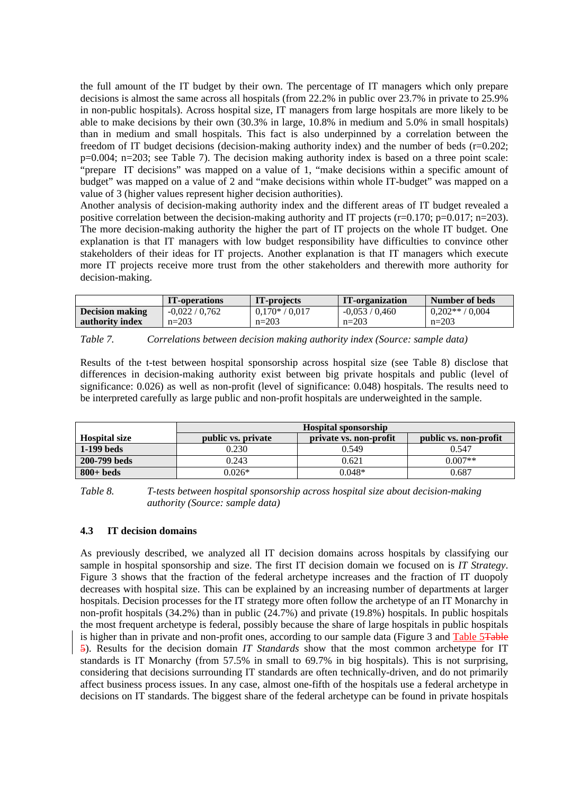the full amount of the IT budget by their own. The percentage of IT managers which only prepare decisions is almost the same across all hospitals (from 22.2% in public over 23.7% in private to 25.9% in non-public hospitals). Across hospital size, IT managers from large hospitals are more likely to be able to make decisions by their own (30.3% in large, 10.8% in medium and 5.0% in small hospitals) than in medium and small hospitals. This fact is also underpinned by a correlation between the freedom of IT budget decisions (decision-making authority index) and the number of beds  $(r=0.202)$ ; p=0.004; n=203; see Table 7). The decision making authority index is based on a three point scale: "prepare IT decisions" was mapped on a value of 1, "make decisions within a specific amount of budget" was mapped on a value of 2 and "make decisions within whole IT-budget" was mapped on a value of 3 (higher values represent higher decision authorities).

Another analysis of decision-making authority index and the different areas of IT budget revealed a positive correlation between the decision-making authority and IT projects ( $r=0.170$ ;  $p=0.017$ ; n=203). The more decision-making authority the higher the part of IT projects on the whole IT budget. One explanation is that IT managers with low budget responsibility have difficulties to convince other stakeholders of their ideas for IT projects. Another explanation is that IT managers which execute more IT projects receive more trust from the other stakeholders and therewith more authority for decision-making.

|                        | <b>IT-operations</b> | IT-projects      | IT-organization | Number of beds  |
|------------------------|----------------------|------------------|-----------------|-----------------|
| <b>Decision making</b> | $-0.022 / 0.762$     | $0.170* / 0.017$ | $-0.053/0.460$  | $0.202**/0.004$ |
| authority index        | $n=203$              | $n=203$          | $n=203$         | $n=203$         |

Results of the t-test between hospital sponsorship across hospital size (see Table 8) disclose that differences in decision-making authority exist between big private hospitals and public (level of significance: 0.026) as well as non-profit (level of significance: 0.048) hospitals. The results need to be interpreted carefully as large public and non-profit hospitals are underweighted in the sample.

|                      | <b>Hospital sponsorship</b> |                        |                       |  |  |  |
|----------------------|-----------------------------|------------------------|-----------------------|--|--|--|
| <b>Hospital size</b> | public vs. private          | private vs. non-profit | public vs. non-profit |  |  |  |
| $1-199$ beds         | 0.230                       | 0.549                  | 0.547                 |  |  |  |
| 200-799 beds         | 0.243                       | 0.621                  | $0.007**$             |  |  |  |
| $800+$ beds          | 0.026*                      | $0.048*$               | 0.687                 |  |  |  |

*Table 8. T-tests between hospital sponsorship across hospital size about decision-making authority (Source: sample data)* 

#### **4.3 IT decision domains**

As previously described, we analyzed all IT decision domains across hospitals by classifying our sample in hospital sponsorship and size. The first IT decision domain we focused on is *IT Strategy*. Figure 3 shows that the fraction of the federal archetype increases and the fraction of IT duopoly decreases with hospital size. This can be explained by an increasing number of departments at larger hospitals. Decision processes for the IT strategy more often follow the archetype of an IT Monarchy in non-profit hospitals (34.2%) than in public (24.7%) and private (19.8%) hospitals. In public hospitals the most frequent archetype is federal, possibly because the share of large hospitals in public hospitals is higher than in private and non-profit ones, according to our sample data (Figure 3 and Table 5Table 5). Results for the decision domain *IT Standards* show that the most common archetype for IT standards is IT Monarchy (from 57.5% in small to 69.7% in big hospitals). This is not surprising, considering that decisions surrounding IT standards are often technically-driven, and do not primarily affect business process issues. In any case, almost one-fifth of the hospitals use a federal archetype in decisions on IT standards. The biggest share of the federal archetype can be found in private hospitals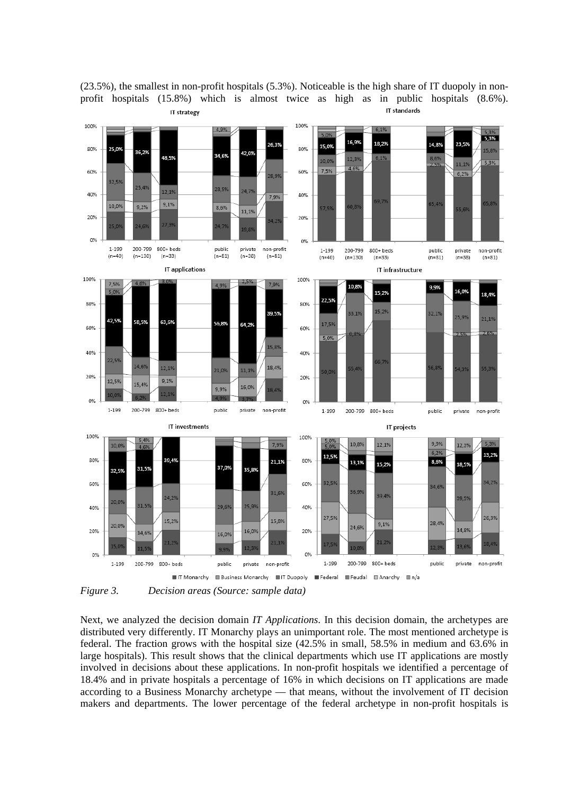

(23.5%), the smallest in non-profit hospitals (5.3%). Noticeable is the high share of IT duopoly in nonprofit hospitals (15.8%) which is almost twice as high as in public hospitals (8.6%). IT standards IT strategy

*Figure 3. Decision areas (Source: sample data)*

Next, we analyzed the decision domain *IT Applications*. In this decision domain, the archetypes are distributed very differently. IT Monarchy plays an unimportant role. The most mentioned archetype is federal. The fraction grows with the hospital size (42.5% in small, 58.5% in medium and 63.6% in large hospitals). This result shows that the clinical departments which use IT applications are mostly involved in decisions about these applications. In non-profit hospitals we identified a percentage of 18.4% and in private hospitals a percentage of 16% in which decisions on IT applications are made according to a Business Monarchy archetype — that means, without the involvement of IT decision makers and departments. The lower percentage of the federal archetype in non-profit hospitals is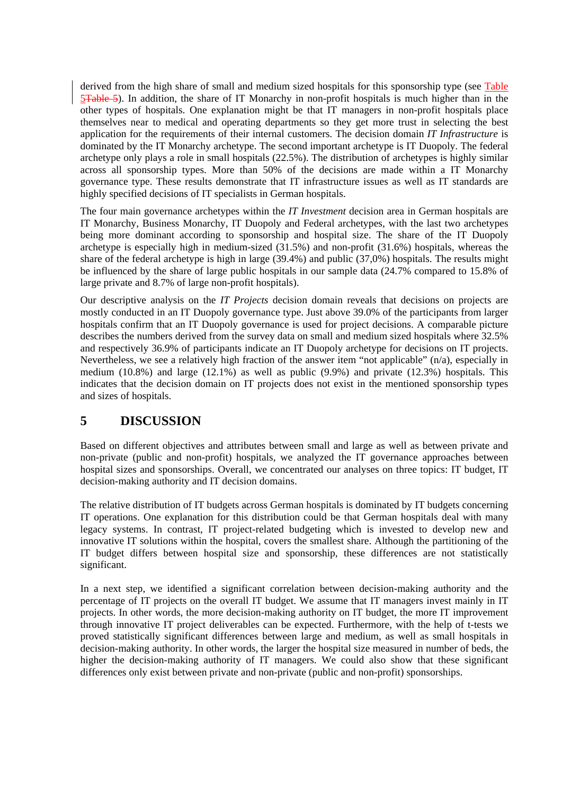derived from the high share of small and medium sized hospitals for this sponsorship type (see Table 5<del>Table 5</del>). In addition, the share of IT Monarchy in non-profit hospitals is much higher than in the other types of hospitals. One explanation might be that IT managers in non-profit hospitals place themselves near to medical and operating departments so they get more trust in selecting the best application for the requirements of their internal customers. The decision domain *IT Infrastructure* is dominated by the IT Monarchy archetype. The second important archetype is IT Duopoly. The federal archetype only plays a role in small hospitals (22.5%). The distribution of archetypes is highly similar across all sponsorship types. More than 50% of the decisions are made within a IT Monarchy governance type. These results demonstrate that IT infrastructure issues as well as IT standards are highly specified decisions of IT specialists in German hospitals.

The four main governance archetypes within the *IT Investment* decision area in German hospitals are IT Monarchy, Business Monarchy, IT Duopoly and Federal archetypes, with the last two archetypes being more dominant according to sponsorship and hospital size. The share of the IT Duopoly archetype is especially high in medium-sized (31.5%) and non-profit (31.6%) hospitals, whereas the share of the federal archetype is high in large (39.4%) and public (37,0%) hospitals. The results might be influenced by the share of large public hospitals in our sample data (24.7% compared to 15.8% of large private and 8.7% of large non-profit hospitals).

Our descriptive analysis on the *IT Projects* decision domain reveals that decisions on projects are mostly conducted in an IT Duopoly governance type. Just above 39.0% of the participants from larger hospitals confirm that an IT Duopoly governance is used for project decisions. A comparable picture describes the numbers derived from the survey data on small and medium sized hospitals where 32.5% and respectively 36.9% of participants indicate an IT Duopoly archetype for decisions on IT projects. Nevertheless, we see a relatively high fraction of the answer item "not applicable" (n/a), especially in medium (10.8%) and large (12.1%) as well as public (9.9%) and private (12.3%) hospitals. This indicates that the decision domain on IT projects does not exist in the mentioned sponsorship types and sizes of hospitals.

## **5 DISCUSSION**

Based on different objectives and attributes between small and large as well as between private and non-private (public and non-profit) hospitals, we analyzed the IT governance approaches between hospital sizes and sponsorships. Overall, we concentrated our analyses on three topics: IT budget, IT decision-making authority and IT decision domains.

The relative distribution of IT budgets across German hospitals is dominated by IT budgets concerning IT operations. One explanation for this distribution could be that German hospitals deal with many legacy systems. In contrast, IT project-related budgeting which is invested to develop new and innovative IT solutions within the hospital, covers the smallest share. Although the partitioning of the IT budget differs between hospital size and sponsorship, these differences are not statistically significant.

In a next step, we identified a significant correlation between decision-making authority and the percentage of IT projects on the overall IT budget. We assume that IT managers invest mainly in IT projects. In other words, the more decision-making authority on IT budget, the more IT improvement through innovative IT project deliverables can be expected. Furthermore, with the help of t-tests we proved statistically significant differences between large and medium, as well as small hospitals in decision-making authority. In other words, the larger the hospital size measured in number of beds, the higher the decision-making authority of IT managers. We could also show that these significant differences only exist between private and non-private (public and non-profit) sponsorships.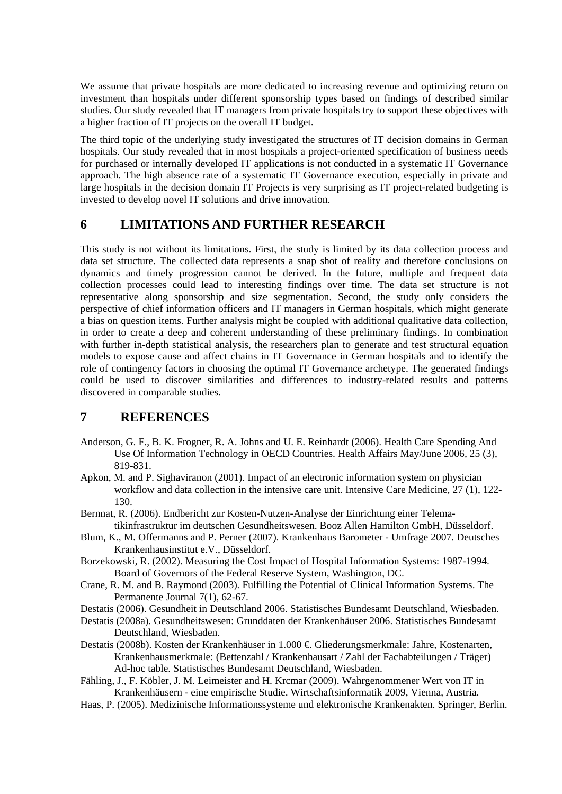We assume that private hospitals are more dedicated to increasing revenue and optimizing return on investment than hospitals under different sponsorship types based on findings of described similar studies. Our study revealed that IT managers from private hospitals try to support these objectives with a higher fraction of IT projects on the overall IT budget.

The third topic of the underlying study investigated the structures of IT decision domains in German hospitals. Our study revealed that in most hospitals a project-oriented specification of business needs for purchased or internally developed IT applications is not conducted in a systematic IT Governance approach. The high absence rate of a systematic IT Governance execution, especially in private and large hospitals in the decision domain IT Projects is very surprising as IT project-related budgeting is invested to develop novel IT solutions and drive innovation.

## **6 LIMITATIONS AND FURTHER RESEARCH**

This study is not without its limitations. First, the study is limited by its data collection process and data set structure. The collected data represents a snap shot of reality and therefore conclusions on dynamics and timely progression cannot be derived. In the future, multiple and frequent data collection processes could lead to interesting findings over time. The data set structure is not representative along sponsorship and size segmentation. Second, the study only considers the perspective of chief information officers and IT managers in German hospitals, which might generate a bias on question items. Further analysis might be coupled with additional qualitative data collection, in order to create a deep and coherent understanding of these preliminary findings. In combination with further in-depth statistical analysis, the researchers plan to generate and test structural equation models to expose cause and affect chains in IT Governance in German hospitals and to identify the role of contingency factors in choosing the optimal IT Governance archetype. The generated findings could be used to discover similarities and differences to industry-related results and patterns discovered in comparable studies.

## **7 REFERENCES**

- Anderson, G. F., B. K. Frogner, R. A. Johns and U. E. Reinhardt (2006). Health Care Spending And Use Of Information Technology in OECD Countries. Health Affairs May/June 2006*,* 25 (3), 819-831.
- Apkon, M. and P. Sighaviranon (2001). Impact of an electronic information system on physician workflow and data collection in the intensive care unit. Intensive Care Medicine*,* 27 (1), 122- 130.
- Bernnat, R. (2006). Endbericht zur Kosten-Nutzen-Analyse der Einrichtung einer Telematikinfrastruktur im deutschen Gesundheitswesen. Booz Allen Hamilton GmbH, Düsseldorf.
- Blum, K., M. Offermanns and P. Perner (2007). Krankenhaus Barometer Umfrage 2007. Deutsches Krankenhausinstitut e.V., Düsseldorf.
- Borzekowski, R. (2002). Measuring the Cost Impact of Hospital Information Systems: 1987-1994. Board of Governors of the Federal Reserve System, Washington, DC.
- Crane, R. M. and B. Raymond (2003). Fulfilling the Potential of Clinical Information Systems. The Permanente Journal 7(1), 62-67.
- Destatis (2006). Gesundheit in Deutschland 2006. Statistisches Bundesamt Deutschland, Wiesbaden.
- Destatis (2008a). Gesundheitswesen: Grunddaten der Krankenhäuser 2006. Statistisches Bundesamt Deutschland, Wiesbaden.
- Destatis (2008b). Kosten der Krankenhäuser in 1.000 €. Gliederungsmerkmale: Jahre, Kostenarten, Krankenhausmerkmale: (Bettenzahl / Krankenhausart / Zahl der Fachabteilungen / Träger) Ad-hoc table. Statistisches Bundesamt Deutschland, Wiesbaden.
- Fähling, J., F. Köbler, J. M. Leimeister and H. Krcmar (2009). Wahrgenommener Wert von IT in Krankenhäusern - eine empirische Studie. Wirtschaftsinformatik 2009, Vienna, Austria.
- Haas, P. (2005). Medizinische Informationssysteme und elektronische Krankenakten. Springer, Berlin.